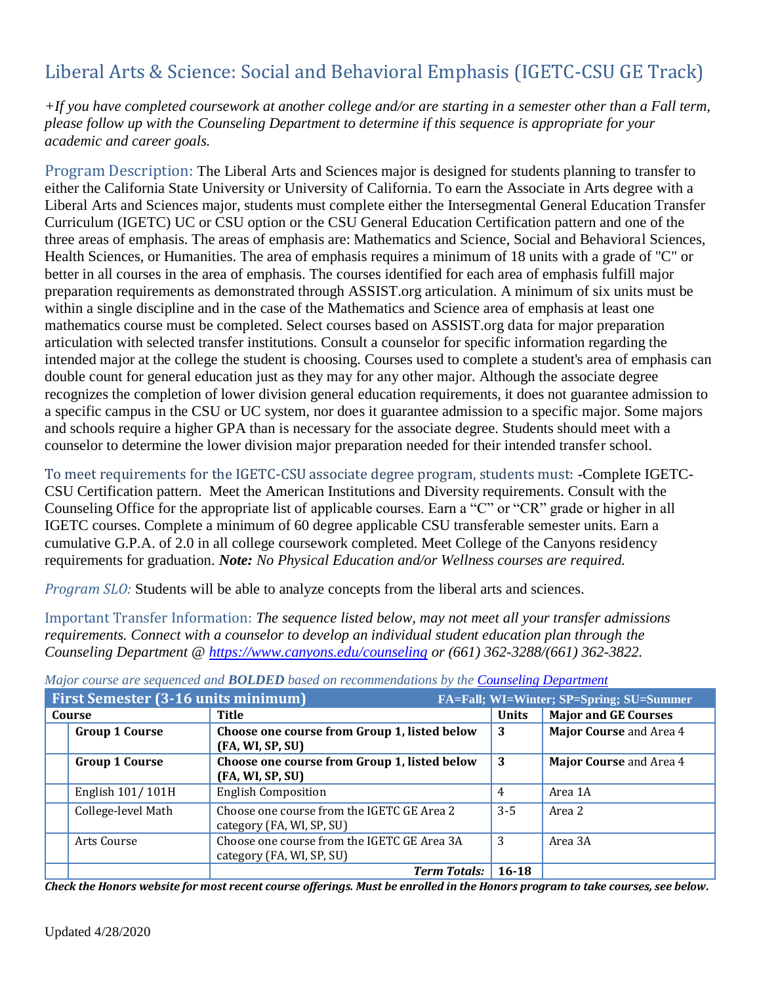# Liberal Arts & Science: Social and Behavioral Emphasis (IGETC-CSU GE Track)

*+If you have completed coursework at another college and/or are starting in a semester other than a Fall term, please follow up with the Counseling Department to determine if this sequence is appropriate for your academic and career goals.* 

Program Description: The Liberal Arts and Sciences major is designed for students planning to transfer to either the California State University or University of California. To earn the Associate in Arts degree with a Liberal Arts and Sciences major, students must complete either the Intersegmental General Education Transfer Curriculum (IGETC) UC or CSU option or the CSU General Education Certification pattern and one of the three areas of emphasis. The areas of emphasis are: Mathematics and Science, Social and Behavioral Sciences, Health Sciences, or Humanities. The area of emphasis requires a minimum of 18 units with a grade of "C" or better in all courses in the area of emphasis. The courses identified for each area of emphasis fulfill major preparation requirements as demonstrated through ASSIST.org articulation. A minimum of six units must be within a single discipline and in the case of the Mathematics and Science area of emphasis at least one mathematics course must be completed. Select courses based on ASSIST.org data for major preparation articulation with selected transfer institutions. Consult a counselor for specific information regarding the intended major at the college the student is choosing. Courses used to complete a student's area of emphasis can double count for general education just as they may for any other major. Although the associate degree recognizes the completion of lower division general education requirements, it does not guarantee admission to a specific campus in the CSU or UC system, nor does it guarantee admission to a specific major. Some majors and schools require a higher GPA than is necessary for the associate degree. Students should meet with a counselor to determine the lower division major preparation needed for their intended transfer school.

To meet requirements for the IGETC-CSU associate degree program, students must: -Complete IGETC-CSU Certification pattern. Meet the American Institutions and Diversity requirements. Consult with the Counseling Office for the appropriate list of applicable courses. Earn a "C" or "CR" grade or higher in all IGETC courses. Complete a minimum of 60 degree applicable CSU transferable semester units. Earn a cumulative G.P.A. of 2.0 in all college coursework completed. Meet College of the Canyons residency requirements for graduation. *Note: No Physical Education and/or Wellness courses are required.*

*Program SLO:* Students will be able to analyze concepts from the liberal arts and sciences.

Important Transfer Information: *The sequence listed below, may not meet all your transfer admissions requirements. Connect with a counselor to develop an individual student education plan through the Counseling Department @<https://www.canyons.edu/counseling> or (661) 362-3288/(661) 362-3822.*

| <b>First Semester (3-16 units minimum)</b><br>FA=Fall; WI=Winter; SP=Spring; SU=Summer |                       |                                                                          |              |                             |
|----------------------------------------------------------------------------------------|-----------------------|--------------------------------------------------------------------------|--------------|-----------------------------|
| Course                                                                                 |                       | <b>Title</b>                                                             | <b>Units</b> | <b>Major and GE Courses</b> |
|                                                                                        | <b>Group 1 Course</b> | Choose one course from Group 1, listed below<br>(FA, WI, SP, SU)         | 3            | Major Course and Area 4     |
|                                                                                        | <b>Group 1 Course</b> | Choose one course from Group 1, listed below<br>(FA, WI, SP, SU)         | 3            | Major Course and Area 4     |
|                                                                                        | English 101/101H      | <b>English Composition</b>                                               | 4            | Area 1A                     |
|                                                                                        | College-level Math    | Choose one course from the IGETC GE Area 2<br>category (FA, WI, SP, SU)  | $3 - 5$      | Area 2                      |
|                                                                                        | Arts Course           | Choose one course from the IGETC GE Area 3A<br>category (FA, WI, SP, SU) | 3            | Area 3A                     |
|                                                                                        |                       | <b>Term Totals:</b>                                                      | $16 - 18$    |                             |

*Major course are sequenced and BOLDED based on recommendations by the [Counseling Department](http://www.canyons.edu/counseling)*

*Check the Honors website for most recent course offerings. Must be enrolled in the Honors program to take courses, see below.*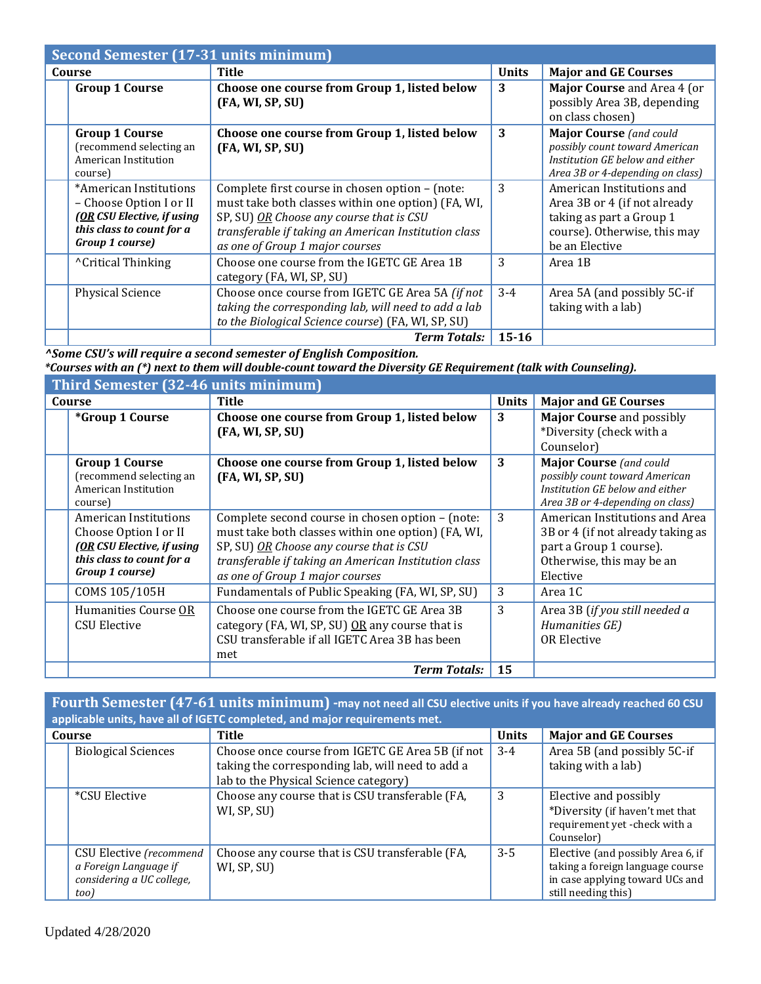|        | Second Semester (17-31 units minimum)                                                                                           |                                                                                                                                                                                                                                              |              |                                                                                                                                         |
|--------|---------------------------------------------------------------------------------------------------------------------------------|----------------------------------------------------------------------------------------------------------------------------------------------------------------------------------------------------------------------------------------------|--------------|-----------------------------------------------------------------------------------------------------------------------------------------|
| Course |                                                                                                                                 | Title                                                                                                                                                                                                                                        | <b>Units</b> | <b>Major and GE Courses</b>                                                                                                             |
|        | <b>Group 1 Course</b>                                                                                                           | Choose one course from Group 1, listed below<br>(FA, WI, SP, SU)                                                                                                                                                                             | 3            | Major Course and Area 4 (or<br>possibly Area 3B, depending<br>on class chosen)                                                          |
|        | <b>Group 1 Course</b><br>(recommend selecting an<br>American Institution<br>course)                                             | Choose one course from Group 1, listed below<br>(FA, WI, SP, SU)                                                                                                                                                                             | 3            | <b>Major Course</b> (and could<br>possibly count toward American<br>Institution GE below and either<br>Area 3B or 4-depending on class) |
|        | *American Institutions<br>– Choose Option I or II<br>(OR CSU Elective, if using<br>this class to count for a<br>Group 1 course) | Complete first course in chosen option - (note:<br>must take both classes within one option) (FA, WI,<br>SP, SU) OR Choose any course that is CSU<br>transferable if taking an American Institution class<br>as one of Group 1 major courses | 3            | American Institutions and<br>Area 3B or 4 (if not already<br>taking as part a Group 1<br>course). Otherwise, this may<br>be an Elective |
|        | <sup>^</sup> Critical Thinking                                                                                                  | Choose one course from the IGETC GE Area 1B<br>category (FA, WI, SP, SU)                                                                                                                                                                     | 3            | Area 1B                                                                                                                                 |
|        | Physical Science                                                                                                                | Choose once course from IGETC GE Area 5A (if not<br>taking the corresponding lab, will need to add a lab<br>to the Biological Science course) (FA, WI, SP, SU)                                                                               | $3 - 4$      | Area 5A (and possibly 5C-if<br>taking with a lab)                                                                                       |
|        |                                                                                                                                 | <b>Term Totals:</b>                                                                                                                                                                                                                          | $15 - 16$    |                                                                                                                                         |

*^Some CSU's will require a second semester of English Composition.* 

*\*Courses with an (\*) next to them will double-count toward the Diversity GE Requirement (talk with Counseling).*

| Third Semester (32-46 units minimum)                                                                                         |                                                                                                                                                                                                                                               |              |                                                                                                                                         |
|------------------------------------------------------------------------------------------------------------------------------|-----------------------------------------------------------------------------------------------------------------------------------------------------------------------------------------------------------------------------------------------|--------------|-----------------------------------------------------------------------------------------------------------------------------------------|
| Course                                                                                                                       | Title                                                                                                                                                                                                                                         | <b>Units</b> | <b>Major and GE Courses</b>                                                                                                             |
| <i>*Group 1 Course</i>                                                                                                       | Choose one course from Group 1, listed below<br>(FA, WI, SP, SU)                                                                                                                                                                              | 3            | <b>Major Course and possibly</b><br>*Diversity (check with a<br>Counselor)                                                              |
| <b>Group 1 Course</b><br>(recommend selecting an<br>American Institution<br>course)                                          | Choose one course from Group 1, listed below<br>(FA, WI, SP, SU)                                                                                                                                                                              | 3            | <b>Major Course</b> (and could<br>possibly count toward American<br>Institution GE below and either<br>Area 3B or 4-depending on class) |
| American Institutions<br>Choose Option I or II<br>(OR CSU Elective, if using<br>this class to count for a<br>Group 1 course) | Complete second course in chosen option - (note:<br>must take both classes within one option) (FA, WI,<br>SP, SU) OR Choose any course that is CSU<br>transferable if taking an American Institution class<br>as one of Group 1 major courses | 3            | American Institutions and Area<br>3B or 4 (if not already taking as<br>part a Group 1 course).<br>Otherwise, this may be an<br>Elective |
| COMS 105/105H                                                                                                                | Fundamentals of Public Speaking (FA, WI, SP, SU)                                                                                                                                                                                              | 3            | Area 1C                                                                                                                                 |
| Humanities Course OR<br><b>CSU Elective</b>                                                                                  | Choose one course from the IGETC GE Area 3B<br>category (FA, WI, SP, SU) OR any course that is<br>CSU transferable if all IGETC Area 3B has been<br>met                                                                                       | 3            | Area 3B (if you still needed a<br>Humanities GE)<br><b>OR Elective</b>                                                                  |
|                                                                                                                              | <b>Term Totals:</b>                                                                                                                                                                                                                           | 15           |                                                                                                                                         |

**Fourth Semester (47-61 units minimum) -may not need all CSU elective units if you have already reached 60 CSU applicable units, have all of IGETC completed, and major requirements met.**

| Course |                                                                                       | <b>Title</b>                                                                                                                                  | <b>Units</b> | <b>Major and GE Courses</b>                                                                                                     |
|--------|---------------------------------------------------------------------------------------|-----------------------------------------------------------------------------------------------------------------------------------------------|--------------|---------------------------------------------------------------------------------------------------------------------------------|
|        | <b>Biological Sciences</b>                                                            | Choose once course from IGETC GE Area 5B (if not<br>taking the corresponding lab, will need to add a<br>lab to the Physical Science category) | $3 - 4$      | Area 5B (and possibly 5C-if<br>taking with a lab)                                                                               |
|        | *CSU Elective                                                                         | Choose any course that is CSU transferable (FA,<br>WI, SP, SU)                                                                                | 3            | Elective and possibly<br>*Diversity (if haven't met that<br>requirement yet -check with a<br>Counselor)                         |
|        | CSU Elective (recommend<br>a Foreign Language if<br>considering a UC college,<br>too) | Choose any course that is CSU transferable (FA,<br>WI, SP, SU)                                                                                | $3 - 5$      | Elective (and possibly Area 6, if<br>taking a foreign language course<br>in case applying toward UCs and<br>still needing this) |